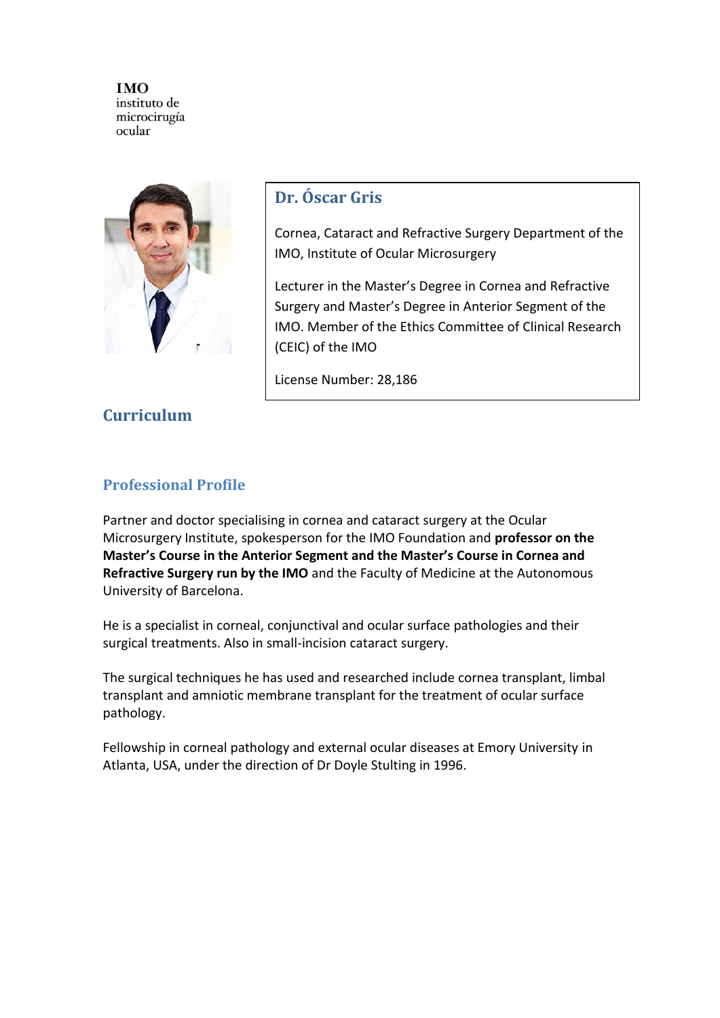

# **Dr. Óscar Gris**

Cornea, Cataract and Refractive Surgery Department of the IMO, Institute of Ocular Microsurgery

Lecturer in the Master's Degree in Cornea and Refractive Surgery and Master's Degree in Anterior Segment of the IMO. Member of the Ethics Committee of Clinical Research (CEIC) of the IMO

License Number: 28,186

# **Curriculum**

### **Professional Profile**

Partner and doctor specialising in cornea and cataract surgery at the Ocular Microsurgery Institute, spokesperson for the IMO Foundation and **professor on the Master's Course in the Anterior Segment and the Master's Course in Cornea and Refractive Surgery run by the IMO** and the Faculty of Medicine at the Autonomous University of Barcelona.

He is a specialist in corneal, conjunctival and ocular surface pathologies and their surgical treatments. Also in small-incision cataract surgery.

The surgical techniques he has used and researched include cornea transplant, limbal transplant and amniotic membrane transplant for the treatment of ocular surface pathology.

Fellowship in corneal pathology and external ocular diseases at Emory University in Atlanta, USA, under the direction of Dr Doyle Stulting in 1996.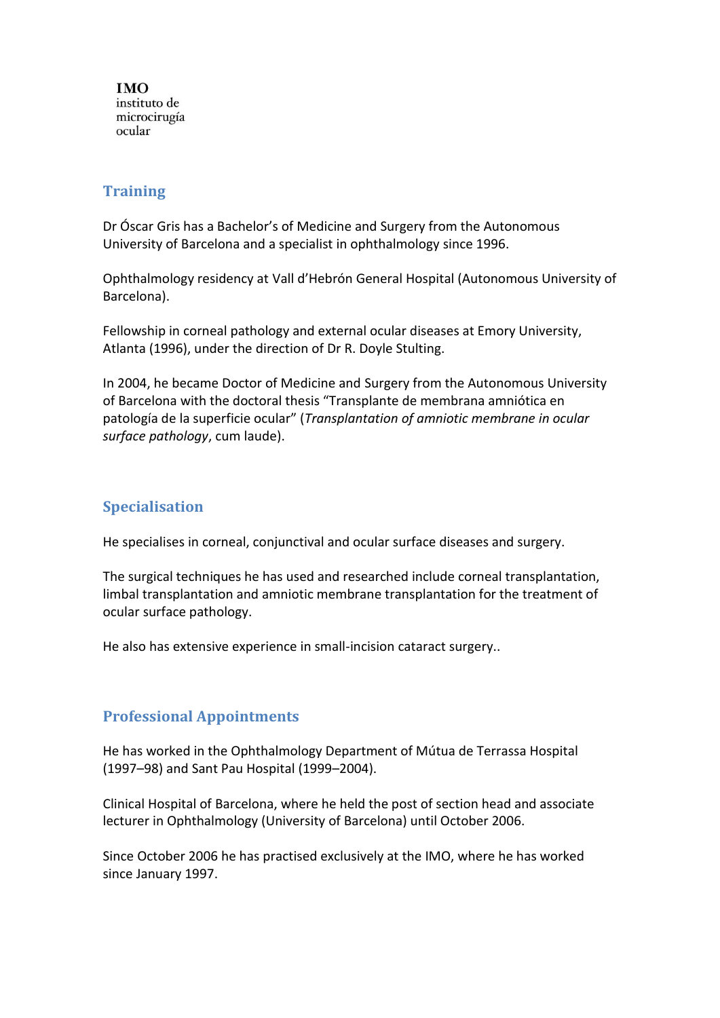#### **Training**

Dr Óscar Gris has a Bachelor's of Medicine and Surgery from the Autonomous University of Barcelona and a specialist in ophthalmology since 1996.

Ophthalmology residency at Vall d'Hebrón General Hospital (Autonomous University of Barcelona).

Fellowship in corneal pathology and external ocular diseases at Emory University, Atlanta (1996), under the direction of Dr R. Doyle Stulting.

In 2004, he became Doctor of Medicine and Surgery from the Autonomous University of Barcelona with the doctoral thesis "Transplante de membrana amniótica en patología de la superficie ocular" (*Transplantation of amniotic membrane in ocular surface pathology*, cum laude).

### **Specialisation**

He specialises in corneal, conjunctival and ocular surface diseases and surgery.

The surgical techniques he has used and researched include corneal transplantation, limbal transplantation and amniotic membrane transplantation for the treatment of ocular surface pathology.

He also has extensive experience in small-incision cataract surgery..

## **Professional Appointments**

He has worked in the Ophthalmology Department of Mútua de Terrassa Hospital (1997–98) and Sant Pau Hospital (1999–2004).

Clinical Hospital of Barcelona, where he held the post of section head and associate lecturer in Ophthalmology (University of Barcelona) until October 2006.

Since October 2006 he has practised exclusively at the IMO, where he has worked since January 1997.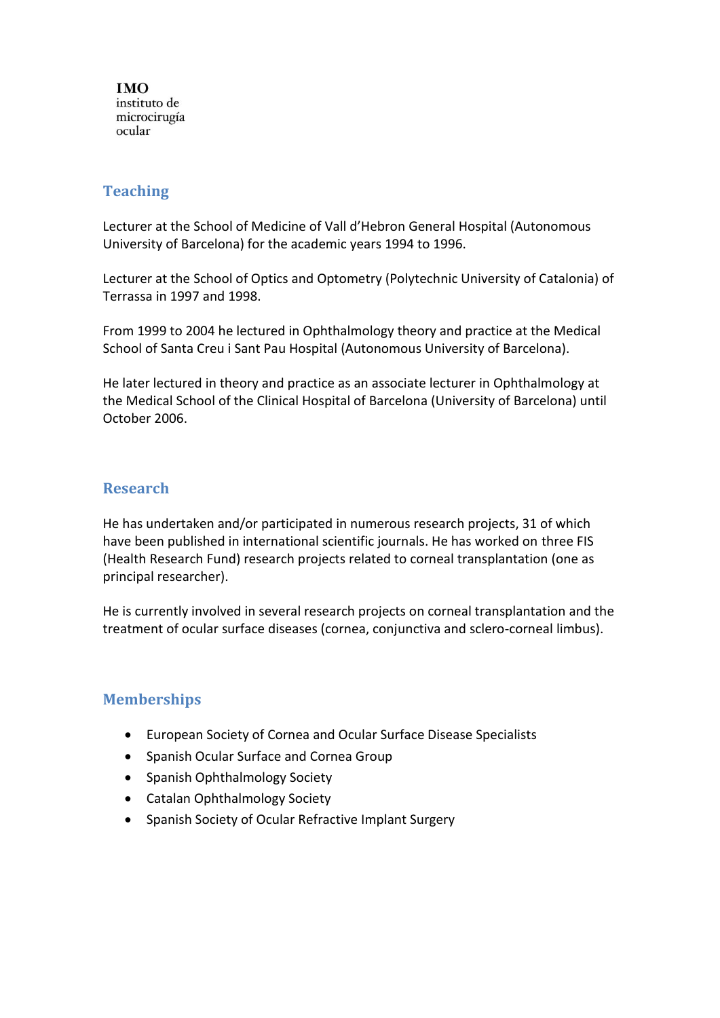#### **Teaching**

Lecturer at the School of Medicine of Vall d'Hebron General Hospital (Autonomous University of Barcelona) for the academic years 1994 to 1996.

Lecturer at the School of Optics and Optometry (Polytechnic University of Catalonia) of Terrassa in 1997 and 1998.

From 1999 to 2004 he lectured in Ophthalmology theory and practice at the Medical School of Santa Creu i Sant Pau Hospital (Autonomous University of Barcelona).

He later lectured in theory and practice as an associate lecturer in Ophthalmology at the Medical School of the Clinical Hospital of Barcelona (University of Barcelona) until October 2006.

### **Research**

He has undertaken and/or participated in numerous research projects, 31 of which have been published in international scientific journals. He has worked on three FIS (Health Research Fund) research projects related to corneal transplantation (one as principal researcher).

He is currently involved in several research projects on corneal transplantation and the treatment of ocular surface diseases (cornea, conjunctiva and sclero-corneal limbus).

### **Memberships**

- European Society of Cornea and Ocular Surface Disease Specialists
- Spanish Ocular Surface and Cornea Group
- Spanish Ophthalmology Society
- Catalan Ophthalmology Society
- Spanish Society of Ocular Refractive Implant Surgery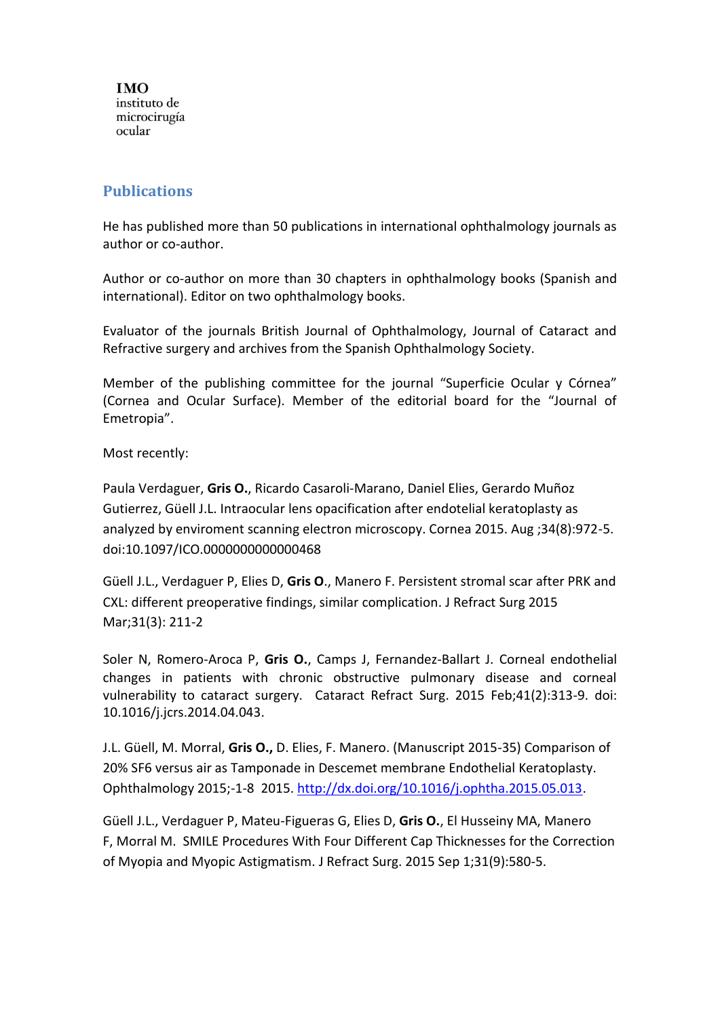#### **Publications**

He has published more than 50 publications in international ophthalmology journals as author or co-author.

Author or co-author on more than 30 chapters in ophthalmology books (Spanish and international). Editor on two ophthalmology books.

Evaluator of the journals British Journal of Ophthalmology, Journal of Cataract and Refractive surgery and archives from the Spanish Ophthalmology Society.

Member of the publishing committee for the journal "Superficie Ocular y Córnea" (Cornea and Ocular Surface). Member of the editorial board for the "Journal of Emetropia".

Most recently:

Paula Verdaguer, **Gris O.**, Ricardo Casaroli-Marano, Daniel Elies, Gerardo Muñoz Gutierrez, Güell J.L. Intraocular lens opacification after endotelial keratoplasty as analyzed by enviroment scanning electron microscopy. Cornea 2015. Aug ;34(8):972-5. doi:10.1097/ICO.0000000000000468

Güell J.L., Verdaguer P, Elies D, **Gris O**., Manero F. Persistent stromal scar after PRK and CXL: different preoperative findings, similar complication. J Refract Surg 2015 Mar;31(3): 211-2

Soler N, Romero-Aroca P, **Gris O.**, Camps J, Fernandez-Ballart J. [Corneal endothelial](https://www.ncbi.nlm.nih.gov/pubmed/25661124)  [changes in patients with chronic obstructive pulmonary disease and corneal](https://www.ncbi.nlm.nih.gov/pubmed/25661124)  [vulnerability to cataract surgery.](https://www.ncbi.nlm.nih.gov/pubmed/25661124) Cataract Refract Surg. 2015 Feb;41(2):313-9. doi: 10.1016/j.jcrs.2014.04.043.

J.L. Güell, M. Morral, **Gris O.,** D. Elies, F. Manero. (Manuscript 2015-35) Comparison of 20% SF6 versus air as Tamponade in Descemet membrane Endothelial Keratoplasty. Ophthalmology 2015;-1-8 2015. [http://dx.doi.org/10.1016/j.ophtha.2015.05.013.](http://dx.doi.org/10.1016/j.ophtha.2015.05.013)

Güell J.L., Verdaguer P, Mateu-Figueras G, Elies D, **Gris O.**, El Husseiny MA, Manero F, Morral M. SMILE Procedures With Four Different Cap Thicknesses for the Correction of Myopia and Myopic Astigmatism. J Refract Surg. 2015 Sep 1;31(9):580-5.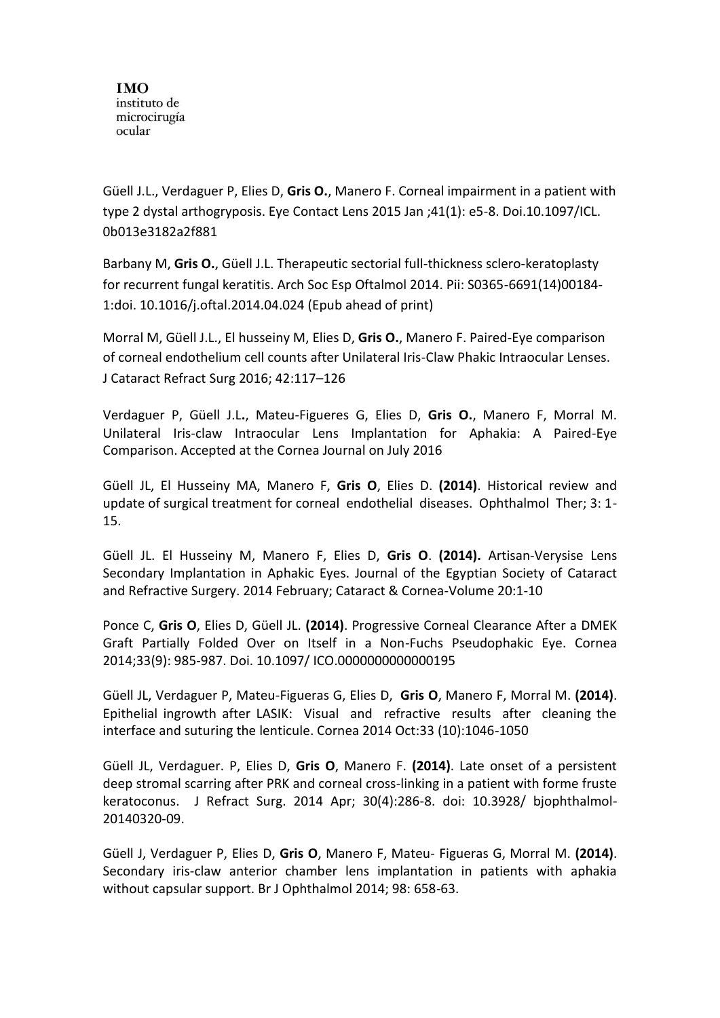Güell J.L., Verdaguer P, Elies D, **Gris O.**, Manero F. Corneal impairment in a patient with type 2 dystal arthogryposis. Eye Contact Lens 2015 Jan ;41(1): e5-8. Doi.10.1097/ICL. 0b013e3182a2f881

Barbany M, **Gris O.**, Güell J.L. Therapeutic sectorial full-thickness sclero-keratoplasty for recurrent fungal keratitis. Arch Soc Esp Oftalmol 2014. Pii: S0365-6691(14)00184- 1:doi. 10.1016/j.oftal.2014.04.024 (Epub ahead of print)

Morral M, Güell J.L., El husseiny M, Elies D, **Gris O.**, Manero F. Paired-Eye comparison of corneal endothelium cell counts after Unilateral Iris-Claw Phakic Intraocular Lenses. J Cataract Refract Surg 2016; 42:117–126

Verdaguer P, Güell J.L**.**, Mateu-Figueres G, Elies D, **Gris O.**, Manero F, Morral M. Unilateral Iris-claw Intraocular Lens Implantation for Aphakia: A Paired-Eye Comparison. Accepted at the Cornea Journal on July 2016

Güell JL, El Husseiny MA, Manero F, **Gris O**, Elies D. **(2014)**. Historical review and update of surgical treatment for corneal endothelial diseases. Ophthalmol Ther; 3: 1- 15.

Güell JL. El Husseiny M, Manero F, Elies D, **Gris O**. **(2014).** Artisan-Verysise Lens Secondary Implantation in Aphakic Eyes. Journal of the Egyptian Society of Cataract and Refractive Surgery. 2014 February; Cataract & Cornea-Volume 20:1-10

Ponce C, **Gris O**, Elies D, Güell JL. **(2014)**. Progressive Corneal Clearance After a DMEK Graft Partially Folded Over on Itself in a Non-Fuchs Pseudophakic Eye. Cornea 2014;33(9): 985-987. Doi. 10.1097/ ICO.0000000000000195

Güell JL, Verdaguer P, Mateu-Figueras G, Elies D, **Gris O**, Manero F, Morral M. **(2014)**. Epithelial ingrowth after LASIK: Visual and refractive results after cleaning the interface and suturing the lenticule. Cornea 2014 Oct:33 (10):1046-1050

Güell JL, Verdaguer. P, Elies D, **Gris O**, Manero F. **(2014)**. Late onset of a persistent deep stromal scarring after PRK and corneal cross-linking in a patient with forme fruste keratoconus. J Refract Surg. 2014 Apr; 30(4):286-8. doi: 10.3928/ bjophthalmol-20140320-09.

Güell J, Verdaguer P, Elies D, **Gris O**, Manero F, Mateu- Figueras G, Morral M. **(2014)**. Secondary iris-claw anterior chamber lens implantation in patients with aphakia without capsular support. Br J Ophthalmol 2014; 98: 658-63.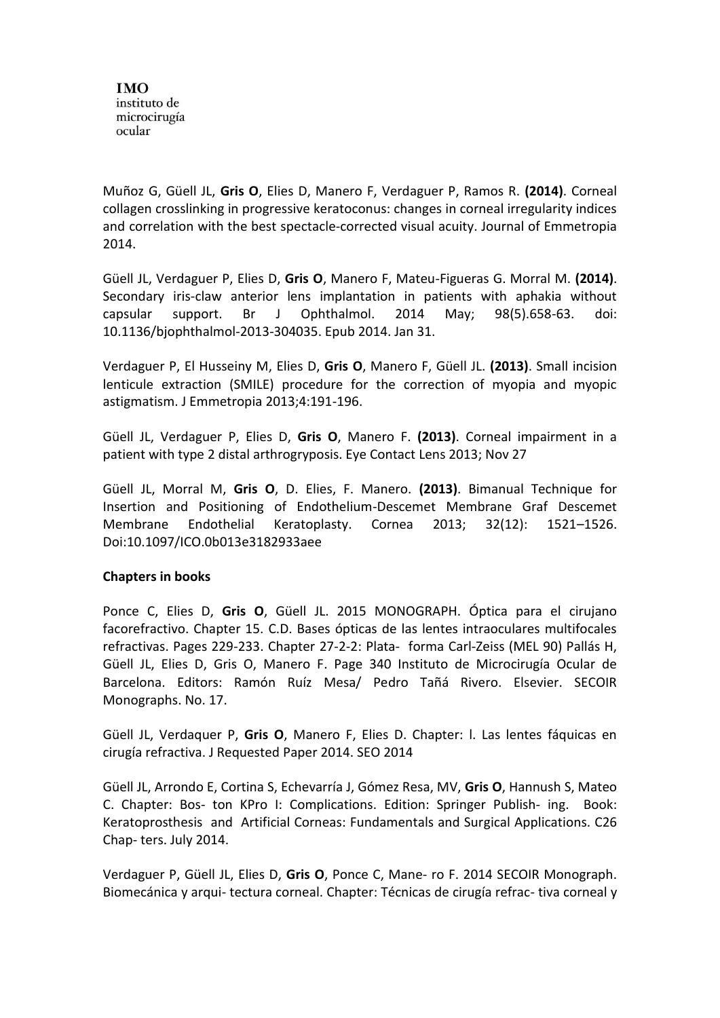Muñoz G, Güell JL, **Gris O**, Elies D, Manero F, Verdaguer P, Ramos R. **(2014)**. Corneal collagen crosslinking in progressive keratoconus: changes in corneal irregularity indices and correlation with the best spectacle-corrected visual acuity. Journal of Emmetropia 2014.

Güell JL, Verdaguer P, Elies D, **Gris O**, Manero F, Mateu-Figueras G. Morral M. **(2014)**. Secondary iris-claw anterior lens implantation in patients with aphakia without capsular support. Br J Ophthalmol. 2014 May; 98(5).658-63. doi: 10.1136/bjophthalmol-2013-304035. Epub 2014. Jan 31.

Verdaguer P, El Husseiny M, Elies D, **Gris O**, Manero F, Güell JL. **(2013)**. Small incision lenticule extraction (SMILE) procedure for the correction of myopia and myopic astigmatism. J Emmetropia 2013;4:191-196.

Güell JL, Verdaguer P, Elies D, **Gris O**, Manero F. **(2013)**. Corneal impairment in a patient with type 2 distal arthrogryposis. Eye Contact Lens 2013; Nov 27

Güell JL, Morral M, **Gris O**, D. Elies, F. Manero. **(2013)**. Bimanual Technique for Insertion and Positioning of Endothelium-Descemet Membrane Graf Descemet Membrane Endothelial Keratoplasty. Cornea 2013; 32(12): 1521–1526. Doi:10.1097/ICO.0b013e3182933aee

#### **Chapters in books**

Ponce C, Elies D, **Gris O**, Güell JL. 2015 MONOGRAPH. Óptica para el cirujano facorefractivo. Chapter 15. C.D. Bases ópticas de las lentes intraoculares multifocales refractivas. Pages 229-233. Chapter 27-2-2: Plata- forma Carl-Zeiss (MEL 90) Pallás H, Güell JL, Elies D, Gris O, Manero F. Page 340 Instituto de Microcirugía Ocular de Barcelona. Editors: Ramón Ruíz Mesa/ Pedro Tañá Rivero. Elsevier. SECOIR Monographs. No. 17.

Güell JL, Verdaquer P, **Gris O**, Manero F, Elies D. Chapter: l. Las lentes fáquicas en cirugía refractiva. J Requested Paper 2014. SEO 2014

Güell JL, Arrondo E, Cortina S, Echevarría J, Gómez Resa, MV, **Gris O**, Hannush S, Mateo C. Chapter: Bos- ton KPro I: Complications. Edition: Springer Publish- ing. Book: Keratoprosthesis and Artificial Corneas: Fundamentals and Surgical Applications. C26 Chap- ters. July 2014.

Verdaguer P, Güell JL, Elies D, **Gris O**, Ponce C, Mane- ro F. 2014 SECOIR Monograph. Biomecánica y arqui- tectura corneal. Chapter: Técnicas de cirugía refrac- tiva corneal y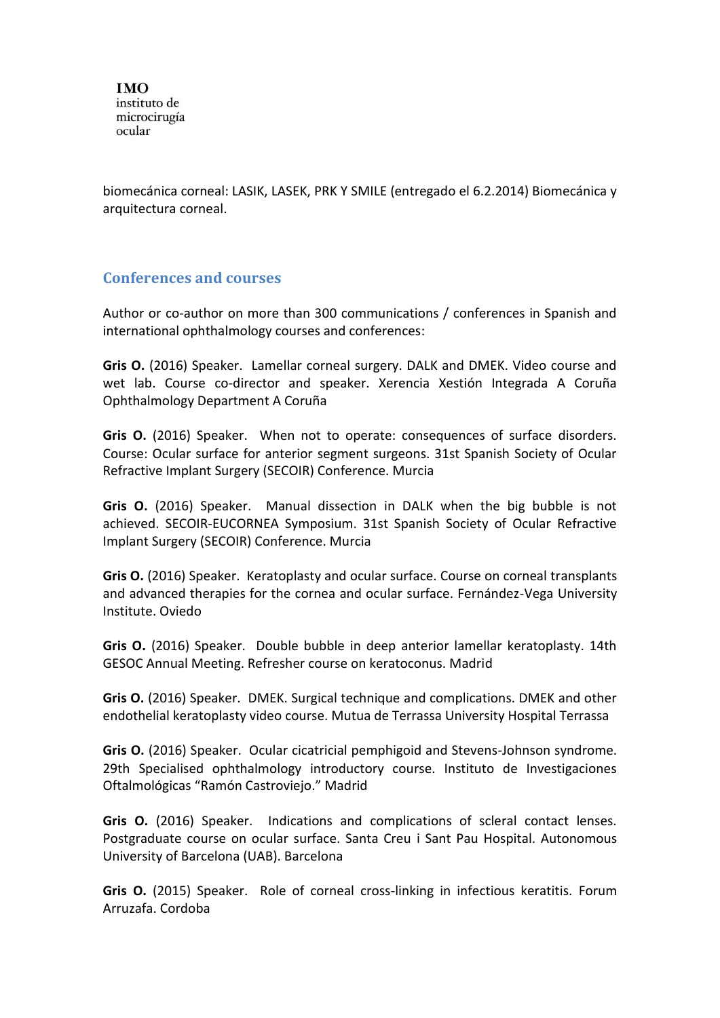biomecánica corneal: LASIK, LASEK, PRK Y SMILE (entregado el 6.2.2014) Biomecánica y arquitectura corneal.

#### **Conferences and courses**

Author or co-author on more than 300 communications / conferences in Spanish and international ophthalmology courses and conferences:

**Gris O.** (2016) Speaker. Lamellar corneal surgery. DALK and DMEK. Video course and wet lab. Course co-director and speaker. Xerencia Xestión Integrada A Coruña Ophthalmology Department A Coruña

**Gris O.** (2016) Speaker. When not to operate: consequences of surface disorders. Course: Ocular surface for anterior segment surgeons. 31st Spanish Society of Ocular Refractive Implant Surgery (SECOIR) Conference. Murcia

**Gris O.** (2016) Speaker. Manual dissection in DALK when the big bubble is not achieved. SECOIR-EUCORNEA Symposium. 31st Spanish Society of Ocular Refractive Implant Surgery (SECOIR) Conference. Murcia

**Gris O.** (2016) Speaker. Keratoplasty and ocular surface. Course on corneal transplants and advanced therapies for the cornea and ocular surface. Fernández-Vega University Institute. Oviedo

**Gris O.** (2016) Speaker. Double bubble in deep anterior lamellar keratoplasty. 14th GESOC Annual Meeting. Refresher course on keratoconus. Madrid

**Gris O.** (2016) Speaker. DMEK. Surgical technique and complications. DMEK and other endothelial keratoplasty video course. Mutua de Terrassa University Hospital Terrassa

**Gris O.** (2016) Speaker. Ocular cicatricial pemphigoid and Stevens-Johnson syndrome. 29th Specialised ophthalmology introductory course. Instituto de Investigaciones Oftalmológicas "Ramón Castroviejo." Madrid

**Gris O.** (2016) Speaker. Indications and complications of scleral contact lenses. Postgraduate course on ocular surface. Santa Creu i Sant Pau Hospital. Autonomous University of Barcelona (UAB). Barcelona

**Gris O.** (2015) Speaker. Role of corneal cross-linking in infectious keratitis. Forum Arruzafa. Cordoba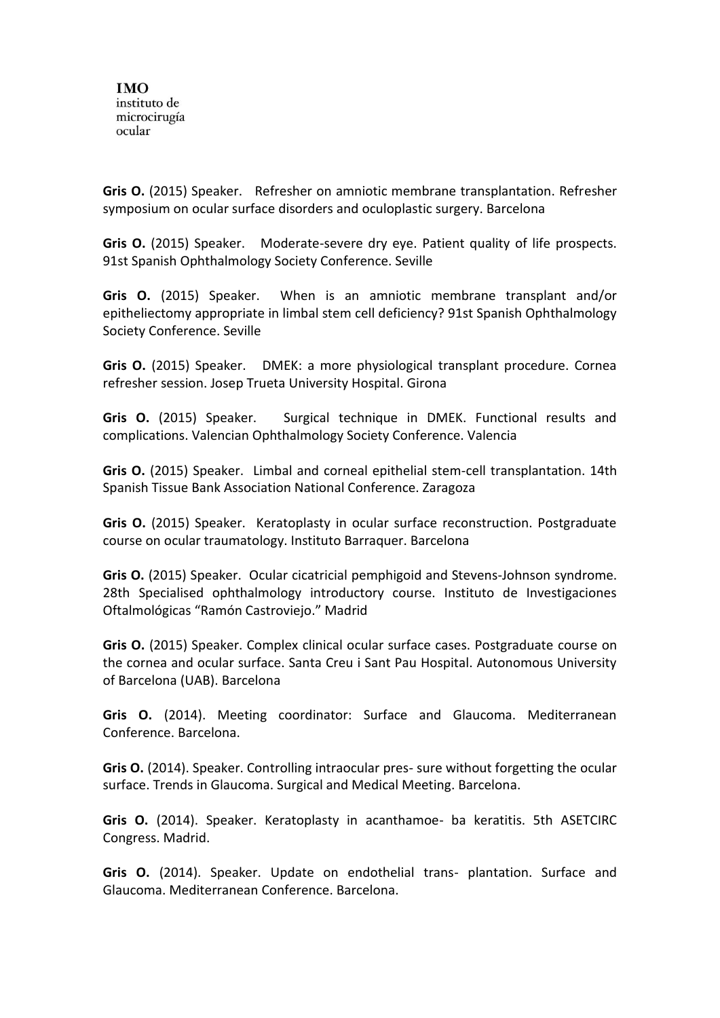**Gris O.** (2015) Speaker. Refresher on amniotic membrane transplantation. Refresher symposium on ocular surface disorders and oculoplastic surgery. Barcelona

**Gris O.** (2015) Speaker. Moderate-severe dry eye. Patient quality of life prospects. 91st Spanish Ophthalmology Society Conference. Seville

**Gris O.** (2015) Speaker. When is an amniotic membrane transplant and/or epitheliectomy appropriate in limbal stem cell deficiency? 91st Spanish Ophthalmology Society Conference. Seville

**Gris O.** (2015) Speaker. DMEK: a more physiological transplant procedure. Cornea refresher session. Josep Trueta University Hospital. Girona

**Gris O.** (2015) Speaker. Surgical technique in DMEK. Functional results and complications. Valencian Ophthalmology Society Conference. Valencia

**Gris O.** (2015) Speaker. Limbal and corneal epithelial stem-cell transplantation. 14th Spanish Tissue Bank Association National Conference. Zaragoza

**Gris O.** (2015) Speaker. Keratoplasty in ocular surface reconstruction. Postgraduate course on ocular traumatology. Instituto Barraquer. Barcelona

**Gris O.** (2015) Speaker. Ocular cicatricial pemphigoid and Stevens-Johnson syndrome. 28th Specialised ophthalmology introductory course. Instituto de Investigaciones Oftalmológicas "Ramón Castroviejo." Madrid

**Gris O.** (2015) Speaker. Complex clinical ocular surface cases. Postgraduate course on the cornea and ocular surface. Santa Creu i Sant Pau Hospital. Autonomous University of Barcelona (UAB). Barcelona

**Gris O.** (2014). Meeting coordinator: Surface and Glaucoma. Mediterranean Conference. Barcelona.

**Gris O.** (2014). Speaker. Controlling intraocular pres- sure without forgetting the ocular surface. Trends in Glaucoma. Surgical and Medical Meeting. Barcelona.

**Gris O.** (2014). Speaker. Keratoplasty in acanthamoe- ba keratitis. 5th ASETCIRC Congress. Madrid.

**Gris O.** (2014). Speaker. Update on endothelial trans- plantation. Surface and Glaucoma. Mediterranean Conference. Barcelona.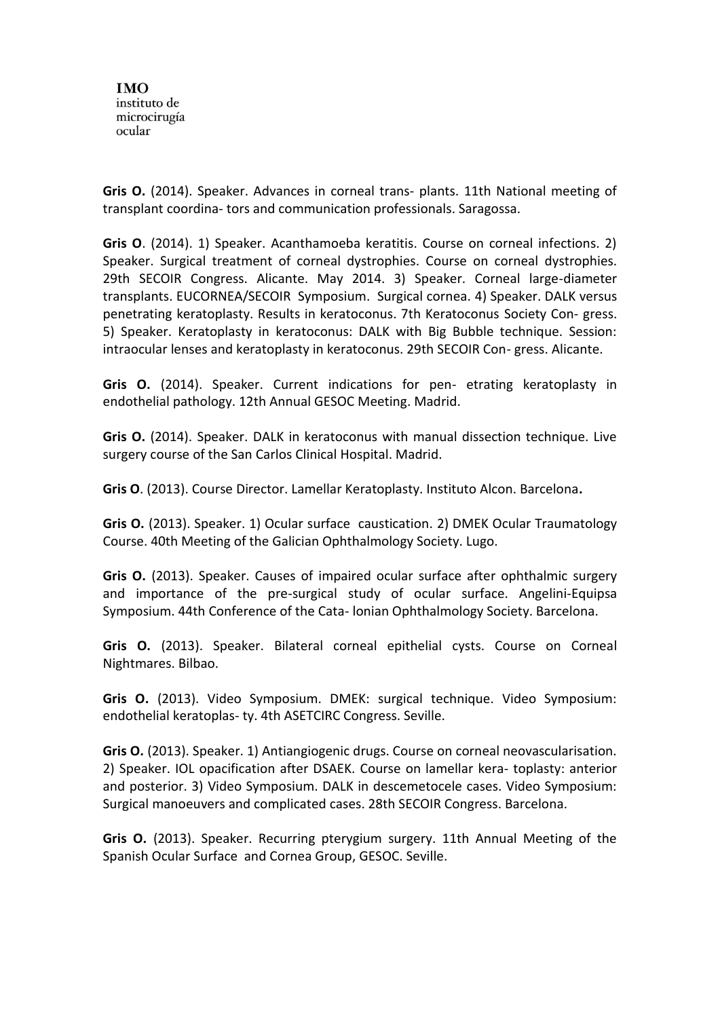**Gris O.** (2014). Speaker. Advances in corneal trans- plants. 11th National meeting of transplant coordina- tors and communication professionals. Saragossa.

**Gris O**. (2014). 1) Speaker. Acanthamoeba keratitis. Course on corneal infections. 2) Speaker. Surgical treatment of corneal dystrophies. Course on corneal dystrophies. 29th SECOIR Congress. Alicante. May 2014. 3) Speaker. Corneal large-diameter transplants. EUCORNEA/SECOIR Symposium. Surgical cornea. 4) Speaker. DALK versus penetrating keratoplasty. Results in keratoconus. 7th Keratoconus Society Con- gress. 5) Speaker. Keratoplasty in keratoconus: DALK with Big Bubble technique. Session: intraocular lenses and keratoplasty in keratoconus. 29th SECOIR Con- gress. Alicante.

**Gris O.** (2014). Speaker. Current indications for pen- etrating keratoplasty in endothelial pathology. 12th Annual GESOC Meeting. Madrid.

**Gris O.** (2014). Speaker. DALK in keratoconus with manual dissection technique. Live surgery course of the San Carlos Clinical Hospital. Madrid.

**Gris O**. (2013). Course Director. Lamellar Keratoplasty. Instituto Alcon. Barcelona**.**

**Gris O.** (2013). Speaker. 1) Ocular surface caustication. 2) DMEK Ocular Traumatology Course. 40th Meeting of the Galician Ophthalmology Society. Lugo.

**Gris O.** (2013). Speaker. Causes of impaired ocular surface after ophthalmic surgery and importance of the pre-surgical study of ocular surface. Angelini-Equipsa Symposium. 44th Conference of the Cata- lonian Ophthalmology Society. Barcelona.

**Gris O.** (2013). Speaker. Bilateral corneal epithelial cysts. Course on Corneal Nightmares. Bilbao.

**Gris O.** (2013). Video Symposium. DMEK: surgical technique. Video Symposium: endothelial keratoplas- ty. 4th ASETCIRC Congress. Seville.

**Gris O.** (2013). Speaker. 1) Antiangiogenic drugs. Course on corneal neovascularisation. 2) Speaker. IOL opacification after DSAEK. Course on lamellar kera- toplasty: anterior and posterior. 3) Video Symposium. DALK in descemetocele cases. Video Symposium: Surgical manoeuvers and complicated cases. 28th SECOIR Congress. Barcelona.

**Gris O.** (2013). Speaker. Recurring pterygium surgery. 11th Annual Meeting of the Spanish Ocular Surface and Cornea Group, GESOC. Seville.